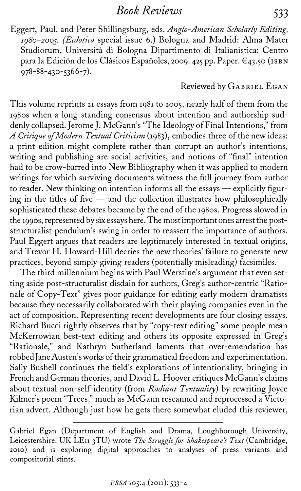Book Reviews 533

Eggert, Paul, and Peter Shillingsburg, eds. Anglo-American Scholarly Editing, 1980-2005. (Ecdotica special issue 6.) Bologna and Madrid: Alma Mater Studiorum, Universita di Bologna Dipartimento di Italianistica; Centro para la Edición de los Clásicos Españoles, 2009. 425 pp. Paper. €43.50 (ISBN  $978 - 88 - 430 - 5366 - 7$ .

Reviewed by GABRIEL EGAN

This volume reprints 21 essays from i981 to 2005, nearly half of them from the i98os when a long-standing consensus about intention and authorship suddenly collapsed. Jerome J. McGann's "The Ideology of Final Intentions," from A Critique of Modern Textual Criticism (1983), embodies three of the new ideas: a print edition might complete rather than corrupt an author's intentions, writing and publishing are social activities, and notions of "final" intention had to be crow-barred into New Bibliography when it was applied to modern writings for which surviving documents witness the full journey from author to reader. New thinking on intention informs all the essays - explicitly figuring in the titles of five  $-$  and the collection illustrates how philosophically sophisticated these debates became by the end of the i98os. Progress slowed in the i99os, represented by six essays here. The most important ones arrest the poststructuralist pendulum's swing in order to reassert the importance of authors. Paul Eggert argues that readers are legitimately interested in textual origins, and Trevor H. Howard-Hill decries the new theories' failure to generate new practices, beyond simply giving readers (potentially misleading) facsimiles.

The third millennium begins with Paul Werstine's argument that even setting aside post-structuralist disdain for authors, Greg's author-centric "Rationale of Copy-Text" gives poor guidance for editing early modern dramatists because they necessarily collaborated with their playing companies even in the act of composition. Representing recent developments are four closing essays. Richard Bucci rightly observes that by "copy-text editing" some people mean McKerrowian best-text editing and others its opposite expressed in Greg's "Rationale," and Kathryn Sutherland laments that over-emendation has robbed Jane Austen's works of their grammatical freedom and experimentation. Sally Bushell continues the field's explorations of intentionality, bringing in French and German theories, and David L. Hoover critiques McGann's claims about textual non-self-identity (from Radiant Textuality) by rewriting Joyce Kilmer's poem "Trees," much as McGann rescanned and reprocessed a Victorian advert. Although just how he gets there somewhat eluded this reviewer,

Gabriel Egan (Department of English and Drama, Loughborough University, Leicestershire, UK LE11 3TU) wrote The Struggle for Shakespeare's Text (Cambridge, <sup>2010</sup>) and is exploring digital approaches to analyses of press variants and compositorial stints.